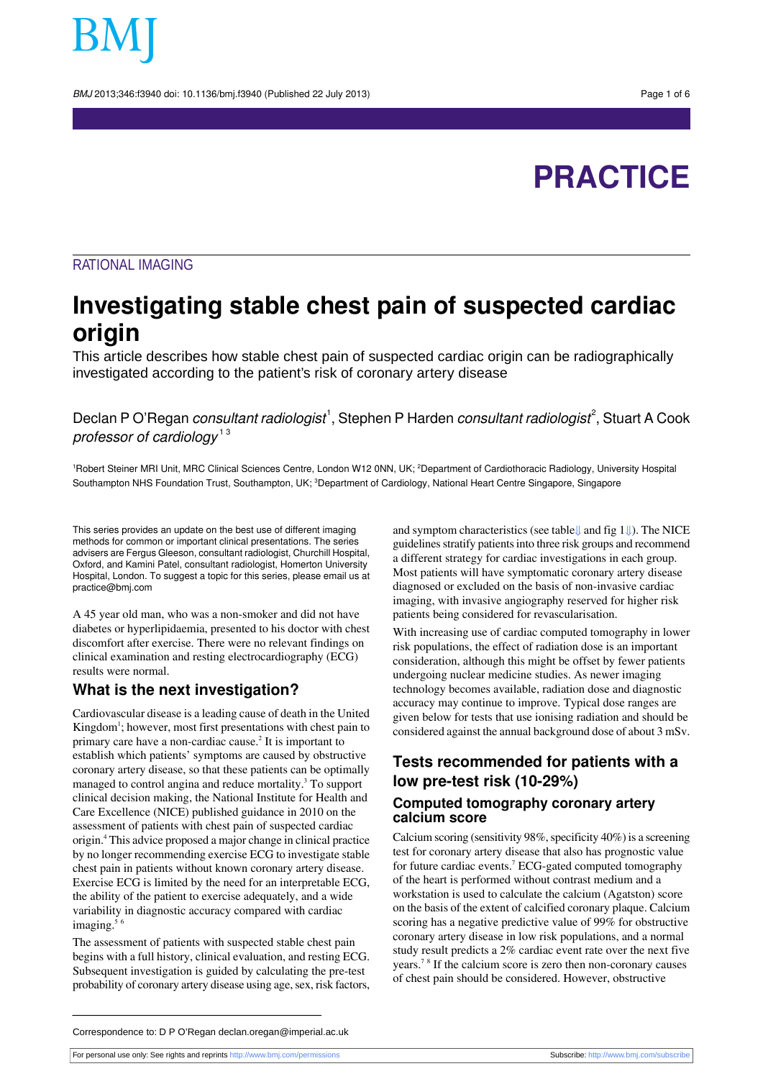BMJ 2013;346:f3940 doi: 10.1136/bmj.f3940 (Published 22 July 2013) Page 1 of 6

# **PRACTICE**

### RATIONAL IMAGING

## **Investigating stable chest pain of suspected cardiac origin**

This article describes how stable chest pain of suspected cardiac origin can be radiographically investigated according to the patient's risk of coronary artery disease

Declan P O'Regan *consultant radiologist*  $^{\text{!}},$  Stephen P Harden *consultant radiologist* $^{\text{?}},$  Stuart A Cook professor of cardiology<sup>13</sup>

<sup>1</sup>Robert Steiner MRI Unit, MRC Clinical Sciences Centre, London W12 0NN, UK; <sup>2</sup>Department of Cardiothoracic Radiology, University Hospital Southampton NHS Foundation Trust, Southampton, UK; <sup>3</sup>Department of Cardiology, National Heart Centre Singapore, Singapore

This series provides an update on the best use of different imaging methods for common or important clinical presentations. The series advisers are Fergus Gleeson, consultant radiologist, Churchill Hospital, Oxford, and Kamini Patel, consultant radiologist, Homerton University Hospital, London. To suggest a topic for this series, please email us at practice@bmj.com

A 45 year old man, who was a non-smoker and did not have diabetes or hyperlipidaemia, presented to his doctor with chest discomfort after exercise. There were no relevant findings on clinical examination and resting electrocardiography (ECG) results were normal.

#### **What is the next investigation?**

Cardiovascular disease is a leading cause of death in the United Kingdom<sup>1</sup>; however, most first presentations with chest pain to primary care have a non-cardiac cause.<sup>2</sup> It is important to establish which patients' symptoms are caused by obstructive coronary artery disease, so that these patients can be optimally managed to control angina and reduce mortality.<sup>3</sup> To support clinical decision making, the National Institute for Health and Care Excellence (NICE) published guidance in 2010 on the assessment of patients with chest pain of suspected cardiac origin.<sup>4</sup> This advice proposed a major change in clinical practice by no longer recommending exercise ECG to investigate stable chest pain in patients without known coronary artery disease. Exercise ECG is limited by the need for an interpretable ECG, the ability of the patient to exercise adequately, and a wide variability in diagnostic accuracy compared with cardiac imaging. $56$ 

The assessment of patients with suspected stable chest pain begins with a full history, clinical evaluation, and resting ECG. Subsequent investigation is guided by calculating the pre-test probability of coronary artery disease using age, sex, risk factors, and symptom characteristics (see table[⇓](#page-3-0) and fig [1⇓](#page-4-0)). The NICE guidelines stratify patients into three risk groups and recommend a different strategy for cardiac investigations in each group. Most patients will have symptomatic coronary artery disease diagnosed or excluded on the basis of non-invasive cardiac imaging, with invasive angiography reserved for higher risk patients being considered for revascularisation.

With increasing use of cardiac computed tomography in lower risk populations, the effect of radiation dose is an important consideration, although this might be offset by fewer patients undergoing nuclear medicine studies. As newer imaging technology becomes available, radiation dose and diagnostic accuracy may continue to improve. Typical dose ranges are given below for tests that use ionising radiation and should be considered against the annual background dose of about 3 mSv.

### **Tests recommended for patients with a low pre-test risk (10-29%)**

#### **Computed tomography coronary artery calcium score**

Calcium scoring (sensitivity  $98\%$ , specificity  $40\%$ ) is a screening test for coronary artery disease that also has prognostic value for future cardiac events.<sup>7</sup> ECG-gated computed tomography of the heart is performed without contrast medium and a workstation is used to calculate the calcium (Agatston) score on the basis of the extent of calcified coronary plaque. Calcium scoring has a negative predictive value of 99% for obstructive coronary artery disease in low risk populations, and a normal study result predicts a 2% cardiac event rate over the next five years.<sup>78</sup> If the calcium score is zero then non-coronary causes of chest pain should be considered. However, obstructive

Correspondence to: D P O'Regan declan.oregan@imperial.ac.uk

For personal use only: See rights and reprints<http://www.bmj.com/permissions> Subscribe: <http://www.bmj.com/subscribe>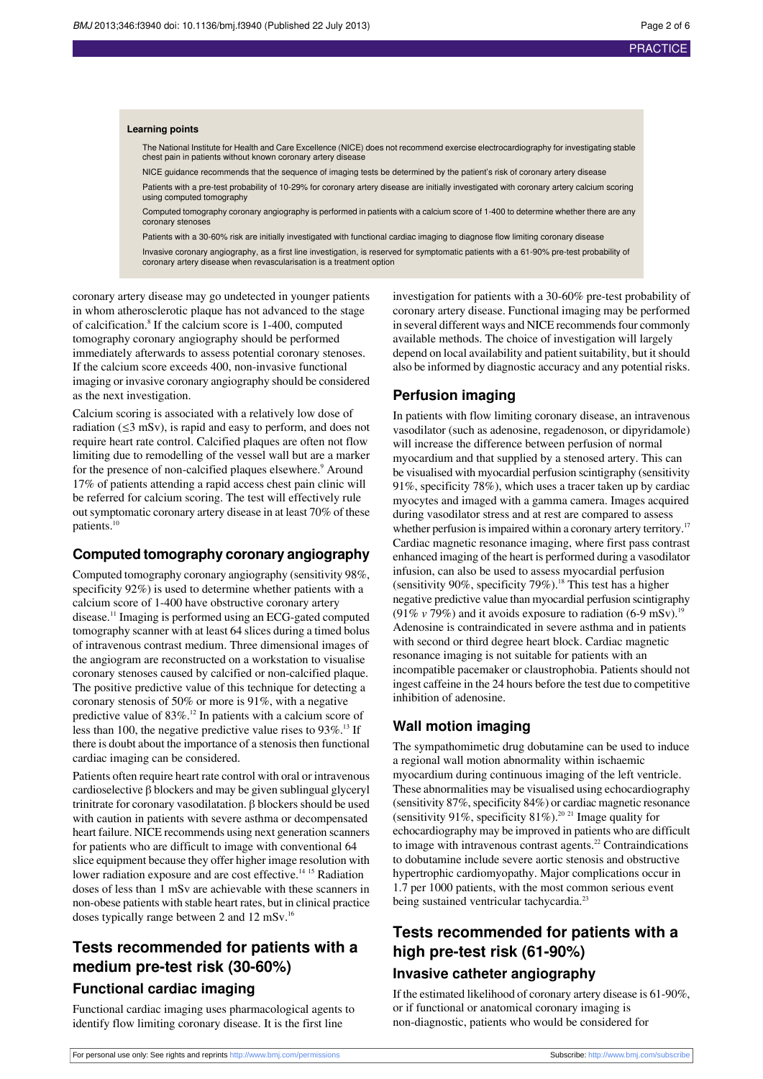#### **Learning points**

The National Institute for Health and Care Excellence (NICE) does not recommend exercise electrocardiography for investigating stable chest pain in patients without known coronary artery disease

NICE guidance recommends that the sequence of imaging tests be determined by the patient's risk of coronary artery disease Patients with a pre-test probability of 10-29% for coronary artery disease are initially investigated with coronary artery calcium scoring using computed tomography

Computed tomography coronary angiography is performed in patients with a calcium score of 1-400 to determine whether there are any coronary stenoses

Patients with a 30-60% risk are initially investigated with functional cardiac imaging to diagnose flow limiting coronary disease

Invasive coronary angiography, as a first line investigation, is reserved for symptomatic patients with a 61-90% pre-test probability of coronary artery disease when revascularisation is a treatment option

coronary artery disease may go undetected in younger patients in whom atherosclerotic plaque has not advanced to the stage of calcification.<sup>8</sup> If the calcium score is 1-400, computed tomography coronary angiography should be performed immediately afterwards to assess potential coronary stenoses. If the calcium score exceeds 400, non-invasive functional imaging or invasive coronary angiography should be considered as the next investigation.

Calcium scoring is associated with a relatively low dose of radiation  $(\leq 3$  mSv), is rapid and easy to perform, and does not require heart rate control. Calcified plaques are often not flow limiting due to remodelling of the vessel wall but are a marker for the presence of non-calcified plaques elsewhere.<sup>9</sup> Around 17% of patients attending a rapid access chest pain clinic will be referred for calcium scoring. The test will effectively rule out symptomatic coronary artery disease in at least 70% of these patients.<sup>10</sup>

#### **Computed tomography coronary angiography**

Computed tomography coronary angiography (sensitivity 98%, specificity 92%) is used to determine whether patients with a calcium score of 1-400 have obstructive coronary artery disease.<sup>11</sup> Imaging is performed using an ECG-gated computed tomography scanner with at least 64 slices during a timed bolus of intravenous contrast medium. Three dimensional images of the angiogram are reconstructed on a workstation to visualise coronary stenoses caused by calcified or non-calcified plaque. The positive predictive value of this technique for detecting a coronary stenosis of 50% or more is 91%, with a negative predictive value of  $83\%$ .<sup>12</sup> In patients with a calcium score of less than 100, the negative predictive value rises to  $93\%$ .<sup>13</sup> If there is doubt about the importance of a stenosis then functional cardiac imaging can be considered.

Patients often require heart rate control with oral or intravenous cardioselective β blockers and may be given sublingual glyceryl trinitrate for coronary vasodilatation.  $β$  blockers should be used with caution in patients with severe asthma or decompensated heart failure. NICE recommends using next generation scanners for patients who are difficult to image with conventional 64 slice equipment because they offer higher image resolution with lower radiation exposure and are cost effective.<sup>14 15</sup> Radiation doses of less than 1 mSv are achievable with these scanners in non-obese patients with stable heart rates, but in clinical practice doses typically range between 2 and 12 mSv.<sup>16</sup>

## **Tests recommended for patients with a medium pre-test risk (30-60%)**

#### **Functional cardiac imaging**

Functional cardiac imaging uses pharmacological agents to identify flow limiting coronary disease. It is the first line

investigation for patients with a 30-60% pre-test probability of coronary artery disease. Functional imaging may be performed in several different ways and NICE recommends four commonly available methods. The choice of investigation will largely depend on local availability and patient suitability, but it should also be informed by diagnostic accuracy and any potential risks.

#### **Perfusion imaging**

In patients with flow limiting coronary disease, an intravenous vasodilator (such as adenosine, regadenoson, or dipyridamole) will increase the difference between perfusion of normal myocardium and that supplied by a stenosed artery. This can be visualised with myocardial perfusion scintigraphy (sensitivity 91%, specificity 78%), which uses a tracer taken up by cardiac myocytes and imaged with a gamma camera. Images acquired during vasodilator stress and at rest are compared to assess whether perfusion is impaired within a coronary artery territory.<sup>17</sup> Cardiac magnetic resonance imaging, where first pass contrast enhanced imaging of the heart is performed during a vasodilator infusion, can also be used to assess myocardial perfusion (sensitivity 90%, specificity 79%).<sup>18</sup> This test has a higher negative predictive value than myocardial perfusion scintigraphy (91%  $v$  79%) and it avoids exposure to radiation (6-9 mSv).<sup>19</sup> Adenosine is contraindicated in severe asthma and in patients with second or third degree heart block. Cardiac magnetic resonance imaging is not suitable for patients with an incompatible pacemaker or claustrophobia. Patients should not ingest caffeine in the 24 hours before the test due to competitive inhibition of adenosine.

#### **Wall motion imaging**

The sympathomimetic drug dobutamine can be used to induce a regional wall motion abnormality within ischaemic myocardium during continuous imaging of the left ventricle. These abnormalities may be visualised using echocardiography (sensitivity  $87\%$ , specificity  $84\%$ ) or cardiac magnetic resonance (sensitivity 91%, specificity 81%).<sup>20 21</sup> Image quality for echocardiography may be improved in patients who are difficult to image with intravenous contrast agents. $^{22}$  Contraindications to dobutamine include severe aortic stenosis and obstructive hypertrophic cardiomyopathy. Major complications occur in 1.7 per 1000 patients, with the most common serious event being sustained ventricular tachycardia.<sup>23</sup>

### **Tests recommended for patients with a high pre-test risk (61-90%)**

#### **Invasive catheter angiography**

If the estimated likelihood of coronary artery disease is 61-90%, or if functional or anatomical coronary imaging is non-diagnostic, patients who would be considered for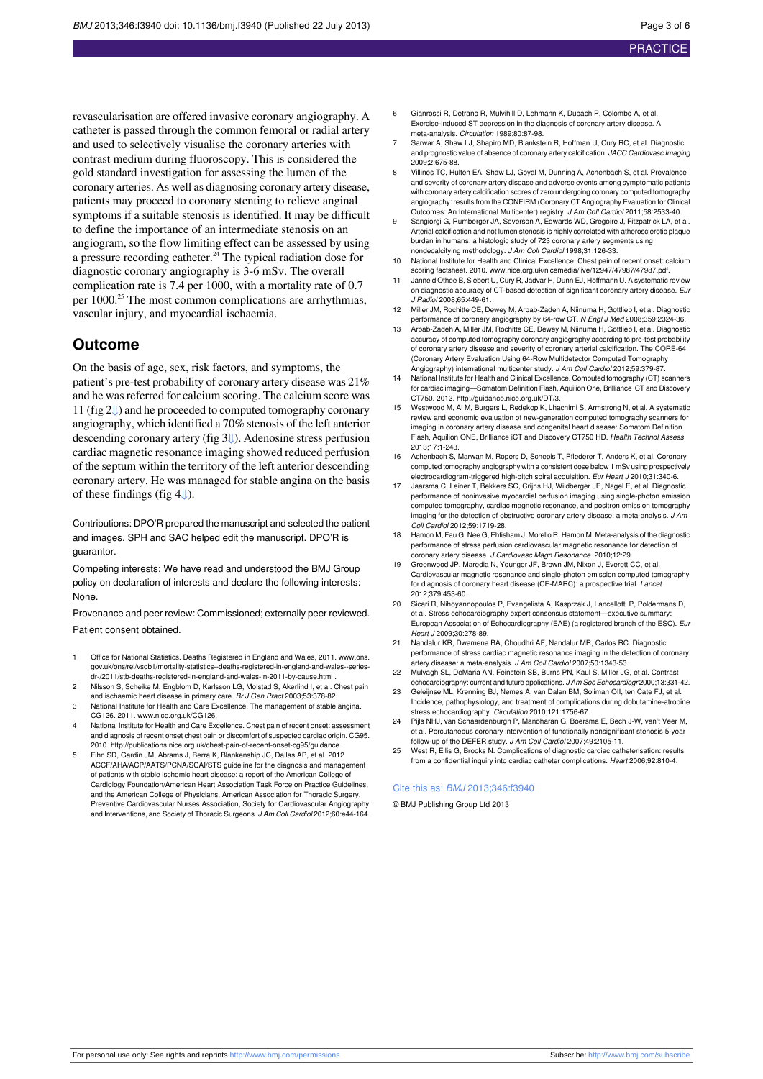revascularisation are offered invasive coronary angiography. A catheter is passed through the common femoral or radial artery and used to selectively visualise the coronary arteries with contrast medium during fluoroscopy. This is considered the gold standard investigation for assessing the lumen of the coronary arteries. As well as diagnosing coronary artery disease, patients may proceed to coronary stenting to relieve anginal symptoms if a suitable stenosis is identified. It may be difficult to define the importance of an intermediate stenosis on an angiogram, so the flow limiting effect can be assessed by using a pressure recording catheter.<sup>24</sup> The typical radiation dose for diagnostic coronary angiography is 3-6 mSv. The overall complication rate is 7.4 per 1000, with a mortality rate of 0.7 per 1000.<sup>25</sup> The most common complications are arrhythmias, vascular injury, and myocardial ischaemia.

#### **Outcome**

On the basis of age, sex, risk factors, and symptoms, the patient's pre-test probability of coronary artery disease was 21% and he was referred for calcium scoring. The calcium score was 11 (fig [2⇓](#page-4-1)) and he proceeded to computed tomography coronary angiography, which identified a 70% stenosis of the left anterior descending coronary artery (fig 3[⇓\)](#page-5-0). Adenosine stress perfusion cardiac magnetic resonance imaging showed reduced perfusion of the septum within the territory of the left anterior descending coronary artery. He was managed for stable angina on the basis of these findings (fig [4⇓](#page-5-1)).

Contributions: DPO'R prepared the manuscript and selected the patient and images. SPH and SAC helped edit the manuscript. DPO'R is guarantor.

Competing interests: We have read and understood the BMJ Group policy on declaration of interests and declare the following interests: None.

Provenance and peer review: Commissioned; externally peer reviewed. Patient consent obtained.

- 1 Office for National Statistics. Deaths Registered in England and Wales, 2011. [www.ons.](http://www.ons.gov.uk/ons/rel/vsob1/mortality-statistics--deaths-registered-in-england-and-wales--series-dr-/2011/stb-deaths-registered-in-england-and-wales-in-2011-by-cause.ht) [gov.uk/ons/rel/vsob1/mortality-statistics--deaths-registered-in-england-and-wales--series](http://www.ons.gov.uk/ons/rel/vsob1/mortality-statistics--deaths-registered-in-england-and-wales--series-dr-/2011/stb-deaths-registered-in-england-and-wales-in-2011-by-cause.ht)[dr-/2011/stb-deaths-registered-in-england-and-wales-in-2011-by-cause.htm](http://www.ons.gov.uk/ons/rel/vsob1/mortality-statistics--deaths-registered-in-england-and-wales--series-dr-/2011/stb-deaths-registered-in-england-and-wales-in-2011-by-cause.ht)l .
- 2 Nilsson S, Scheike M, Engblom D, Karlsson LG, Molstad S, Akerlind I, et al. Chest pain and ischaemic heart disease in primary care. Br J Gen Pract 2003;53:378-82.
- 3 National Institute for Health and Care Excellence. The management of stable angina. CG126. 2011. [www.nice.org.uk/CG126](http://www.nice.org.uk/CG126).
- National Institute for Health and Care Excellence. Chest pain of recent onset: assessment and diagnosis of recent onset chest pain or discomfort of suspected cardiac origin. CG95. 2010. <http://publications.nice.org.uk/chest-pain-of-recent-onset-cg95/guidance>.
- 5 Fihn SD, Gardin JM, Abrams J, Berra K, Blankenship JC, Dallas AP, et al. 2012 ACCF/AHA/ACP/AATS/PCNA/SCAI/STS guideline for the diagnosis and management of patients with stable ischemic heart disease: a report of the American College of Cardiology Foundation/American Heart Association Task Force on Practice Guidelines, and the American College of Physicians, American Association for Thoracic Surgery, Preventive Cardiovascular Nurses Association, Society for Cardiovascular Angio and Interventions, and Society of Thoracic Surgeons. J Am Coll Cardiol 2012;60:e44-164.
- 6 Gianrossi R, Detrano R, Mulvihill D, Lehmann K, Dubach P, Colombo A, et al. Exercise-induced ST depression in the diagnosis of coronary artery disease. A meta-analysis. Circulation 1989;80:87-98.
- Sarwar A, Shaw LJ, Shapiro MD, Blankstein R, Hoffman U, Cury RC, et al. Diagnostic and prognostic value of absence of coronary artery calcification. JACC Cardiovasc Imaging 2009;2:675-88.
- Villines TC, Hulten EA, Shaw LJ, Goyal M, Dunning A, Achenbach S, et al. Prevalence and severity of coronary artery disease and adverse events among symptomatic patients with coronary artery calcification scores of zero undergoing coronary computed tomography angiography: results from the CONFIRM (Coronary CT Angiography Evaluation for Clinical Outcomes: An International Multicenter) registry. J Am Coll Cardiol 2011;58:2533-40.
- 9 Sangiorgi G, Rumberger JA, Severson A, Edwards WD, Gregoire J, Fitzpatrick LA, et al. Arterial calcification and not lumen stenosis is highly correlated with atherosclerotic plaque burden in humans: a histologic study of 723 coronary artery segments using nondecalcifying methodology. J Am Coll Cardiol 1998;31:126-33.
- 10 National Institute for Health and Clinical Excellence. Chest pain of recent onset: calcium scoring factsheet. 2010. [www.nice.org.uk/nicemedia/live/12947/47987/47987.pdf.](http://www.nice.org.uk/nicemedia/live/12947/47987/47987.pdf)
- 11 Janne d'Othee B, Siebert U, Cury R, Jadvar H, Dunn EJ, Hoffmann U. A systematic review on diagnostic accuracy of CT-based detection of significant coronary artery disease. Eur J Radiol 2008;65:449-61.
- Miller JM, Rochitte CE, Dewey M, Arbab-Zadeh A, Niinuma H, Gottlieb I, et al. Diagnostic performance of coronary angiography by 64-row CT. N Engl J Med 2008;359:2324-36.
- 13 Arbab-Zadeh A, Miller JM, Rochitte CE, Dewey M, Niinuma H, Gottlieb I, et al. Diagnostic accuracy of computed tomography coronary angiography according to pre-test probability of coronary artery disease and severity of coronary arterial calcification. The CORE-64 (Coronary Artery Evaluation Using 64-Row Multidetector Computed Tomography Angiography) international multicenter study. J Am Coll Cardiol 2012;59:379-87.
- 14 National Institute for Health and Clinical Excellence. Computed tomography (CT) scanners for cardiac imaging—Somatom Definition Flash, Aquilion One, Brilliance iCT and Discovery CT750. 2012. <http://guidance.nice.org.uk/DT/3>.
- 15 Westwood M, Al M, Burgers L, Redekop K, Lhachimi S, Armstrong N, et al. A systematic review and economic evaluation of new-generation computed tomography scanners for imaging in coronary artery disease and congenital heart disease: Somatom Definition Flash, Aquilion ONE, Brilliance iCT and Discovery CT750 HD. Health Technol Assess 2013;17:1-243.
- Achenbach S, Marwan M, Ropers D, Schepis T, Pflederer T, Anders K, et al. Coronary computed tomography angiography with a consistent dose below 1 mSv using prospectively
- electrocardiogram-triggered high-pitch spiral acquisition. *Eur Heart J* 2010;31:340-6.<br>17 Jaarsma C, Leiner T, Bekkers SC, Crijns HJ, Wildberger JE, Nagel E, et al. Diagnostic performance of noninvasive myocardial perfusion imaging using single-photon emission computed tomography, cardiac magnetic resonance, and positron emission tomography imaging for the detection of obstructive coronary artery disease: a meta-analysis. J Am Coll Cardiol 2012;59:1719-28.
- Hamon M, Fau G, Nee G, Ehtisham J, Morello R, Hamon M. Meta-analysis of the diagnostic performance of stress perfusion cardiovascular magnetic resonance for detection of coronary artery disease. J Cardiovasc Magn Resonance 2010;12:29.
- 19 Greenwood JP, Maredia N, Younger JF, Brown JM, Nixon J, Everett CC, et al. Cardiovascular magnetic resonance and single-photon emission computed tomography for diagnosis of coronary heart disease (CE-MARC): a prospective trial. Lancet 2012;379:453-60.
- 20 Sicari R, Nihoyannopoulos P, Evangelista A, Kasprzak J, Lancellotti P, Poldermans D, et al. Stress echocardiography expert consensus statement-executive summar European Association of Echocardiography (EAE) (a registered branch of the ESC). Eur Heart J 2009;30:278-89.
- 21 Nandalur KR, Dwamena BA, Choudhri AF, Nandalur MR, Carlos RC. Diagnostic performance of stress cardiac magnetic resonance imaging in the detection of coronary artery disease: a meta-analysis. J Am Coll Cardiol 2007;50:1343-53.
- Mulvagh SL, DeMaria AN, Feinstein SB, Burns PN, Kaul S, Miller JG, et al. Contrast echocardiography: current and future applications. J Am Soc Echocardiogr 2000;13:331-42.
- 23 Geleijnse ML, Krenning BJ, Nemes A, van Dalen BM, Soliman OII, ten Cate FJ, et al. Incidence, pathophysiology, and treatment of complications during dobutamine-atropine stress echocardiography. Circulation 2010;121:1756-67.
- 24 Pijls NHJ, van Schaardenburgh P, Manoharan G, Boersma E, Bech J-W, van't Veer M, et al. Percutaneous coronary intervention of functionally nonsignificant stenosis 5-year follow-up of the DEFER study. J Am Coll Cardiol 2007;49:2105-11.
- 25 West R, Ellis G, Brooks N. Complications of diagnostic cardiac catheterisation: results from a confidential inquiry into cardiac catheter complications. Heart 2006;92:810-4.

#### Cite this as: BMJ 2013;346:f3940

© BMJ Publishing Group Ltd 2013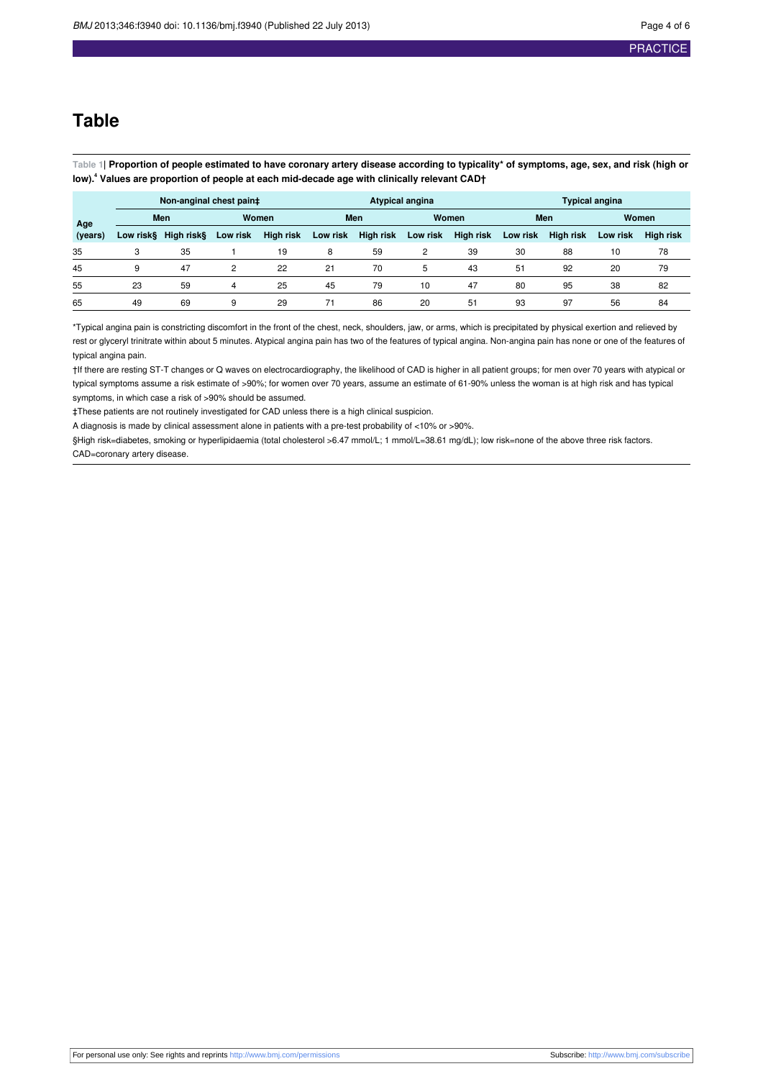### **Table**

<span id="page-3-0"></span>Table 1| Proportion of people estimated to have coronary artery disease according to typicality\* of symptoms, age, sex, and risk (high or **low).<sup>4</sup> Values are proportion of people at each mid-decade age with clinically relevant CAD†**

|         | Non-anginal chest pain‡ |            |          |                  | <b>Atypical angina</b> |           |          |                  | <b>Typical angina</b> |                  |              |                  |
|---------|-------------------------|------------|----------|------------------|------------------------|-----------|----------|------------------|-----------------------|------------------|--------------|------------------|
| Age     | Men                     |            | Women    |                  | <b>Men</b>             |           | Women    |                  | Men                   |                  | <b>Women</b> |                  |
| (years) | Low risk§               | High risk§ | Low risk | <b>High risk</b> | Low risk               | High risk | Low risk | <b>High risk</b> | Low risk              | <b>High risk</b> | Low risk     | <b>High risk</b> |
| 35      |                         | 35         |          | 19               | 8                      | 59        | 2        | 39               | 30                    | 88               | 10           | 78               |
| 45      | q                       | 47         | 2        | 22               | 21                     | 70        | 5        | 43               | 51                    | 92               | 20           | 79               |
| 55      | 23                      | 59         | 4        | 25               | 45                     | 79        | 10       | 47               | 80                    | 95               | 38           | 82               |
| 65      | 49                      | 69         | 9        | 29               | 71                     | 86        | 20       | 51               | 93                    | 97               | 56           | 84               |

\*Typical angina pain is constricting discomfort in the front of the chest, neck, shoulders, jaw, or arms, which is precipitated by physical exertion and relieved by rest or glyceryl trinitrate within about 5 minutes. Atypical angina pain has two of the features of typical angina. Non-angina pain has none or one of the features of typical angina pain.

†If there are resting ST-T changes or Q waves on electrocardiography, the likelihood of CAD is higher in all patient groups; for men over 70 years with atypical or typical symptoms assume a risk estimate of >90%; for women over 70 years, assume an estimate of 61-90% unless the woman is at high risk and has typical symptoms, in which case a risk of >90% should be assumed.

‡These patients are not routinely investigated for CAD unless there is a high clinical suspicion.

A diagnosis is made by clinical assessment alone in patients with a pre-test probability of <10% or >90%.

§High risk=diabetes, smoking or hyperlipidaemia (total cholesterol >6.47 mmol/L; 1 mmol/L=38.61 mg/dL); low risk=none of the above three risk factors. CAD=coronary artery disease.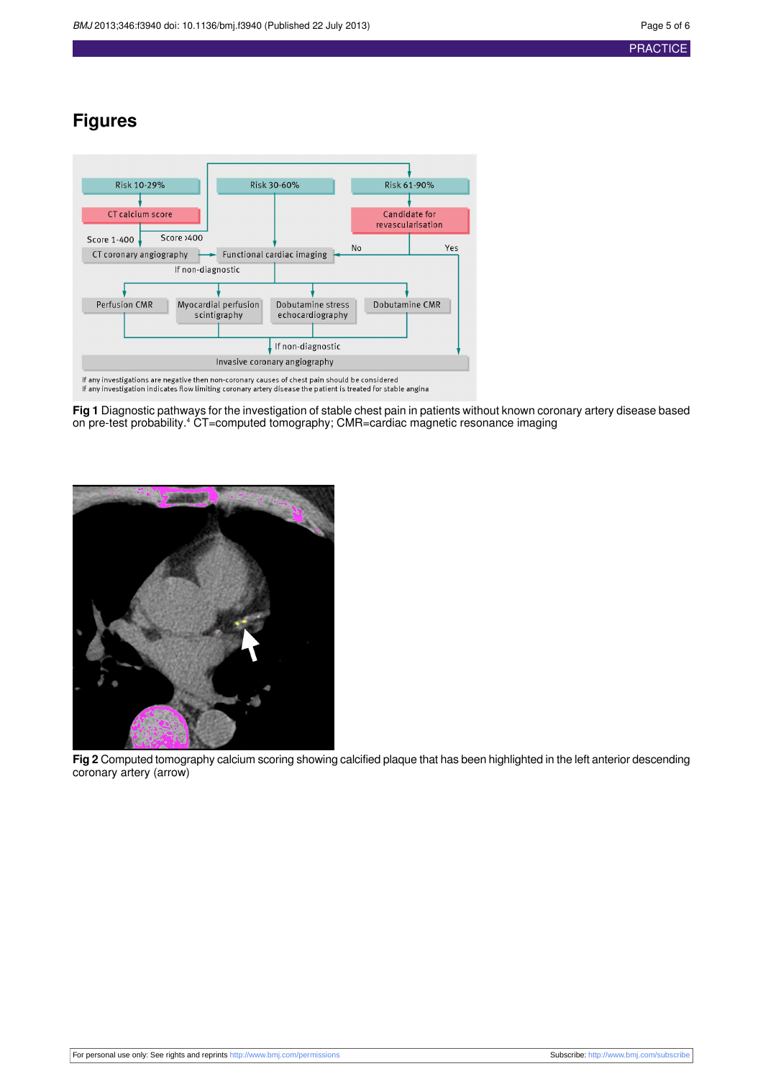## **Figures**

<span id="page-4-0"></span>

<span id="page-4-1"></span>**Fig 1** Diagnostic pathways for the investigation of stable chest pain in patients without known coronary artery disease based on pre-test probability.<sup>4</sup> CT=computed tomography; CMR=cardiac magnetic resonance imaging



**Fig 2** Computed tomography calcium scoring showing calcified plaque that has been highlighted in the left anterior descending coronary artery (arrow)